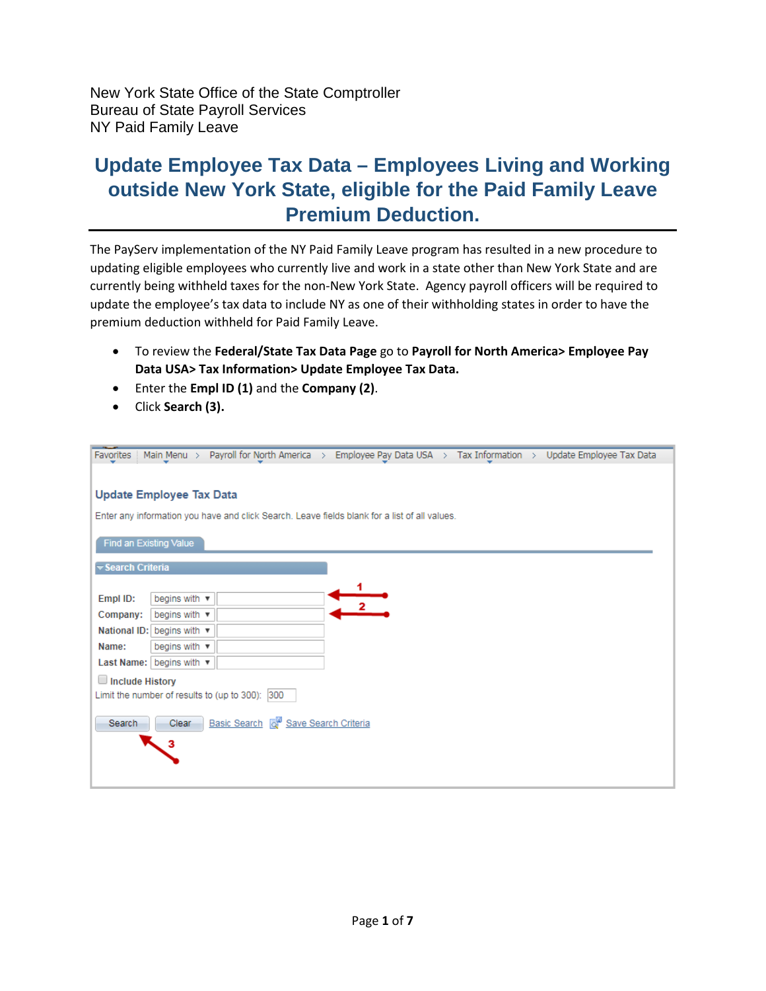New York State Office of the State Comptroller Bureau of State Payroll Services NY Paid Family Leave

## **Update Employee Tax Data – Employees Living and Working outside New York State, eligible for the Paid Family Leave Premium Deduction.**

The PayServ implementation of the NY Paid Family Leave program has resulted in a new procedure to updating eligible employees who currently live and work in a state other than New York State and are currently being withheld taxes for the non-New York State. Agency payroll officers will be required to update the employee's tax data to include NY as one of their withholding states in order to have the premium deduction withheld for Paid Family Leave.

- To review the **Federal/State Tax Data Page** go to **Payroll for North America> Employee Pay Data USA> Tax Information> Update Employee Tax Data.**
- Enter the **Empl ID (1)** and the **Company (2)**.
- Click **Search (3).**

| Main Menu > Payroll for North America > Employee Pay Data USA > Tax Information > Update Employee Tax Data<br><b>Favorites</b> |  |  |  |  |  |  |  |
|--------------------------------------------------------------------------------------------------------------------------------|--|--|--|--|--|--|--|
|                                                                                                                                |  |  |  |  |  |  |  |
| <b>Update Employee Tax Data</b>                                                                                                |  |  |  |  |  |  |  |
| Enter any information you have and click Search. Leave fields blank for a list of all values.                                  |  |  |  |  |  |  |  |
| Find an Existing Value                                                                                                         |  |  |  |  |  |  |  |
| <b>▼Search Criteria</b>                                                                                                        |  |  |  |  |  |  |  |
|                                                                                                                                |  |  |  |  |  |  |  |
| begins with v<br>Empl ID:                                                                                                      |  |  |  |  |  |  |  |
| begins with v<br>Company:                                                                                                      |  |  |  |  |  |  |  |
| National ID: begins with ▼                                                                                                     |  |  |  |  |  |  |  |
| begins with $\sqrt{ }$<br>Name:                                                                                                |  |  |  |  |  |  |  |
| Last Name:   begins with ▼                                                                                                     |  |  |  |  |  |  |  |
| $\Box$ Include History                                                                                                         |  |  |  |  |  |  |  |
| Limit the number of results to (up to 300): 300                                                                                |  |  |  |  |  |  |  |
| Basic Search & Save Search Criteria<br>Search<br>Clear<br>з                                                                    |  |  |  |  |  |  |  |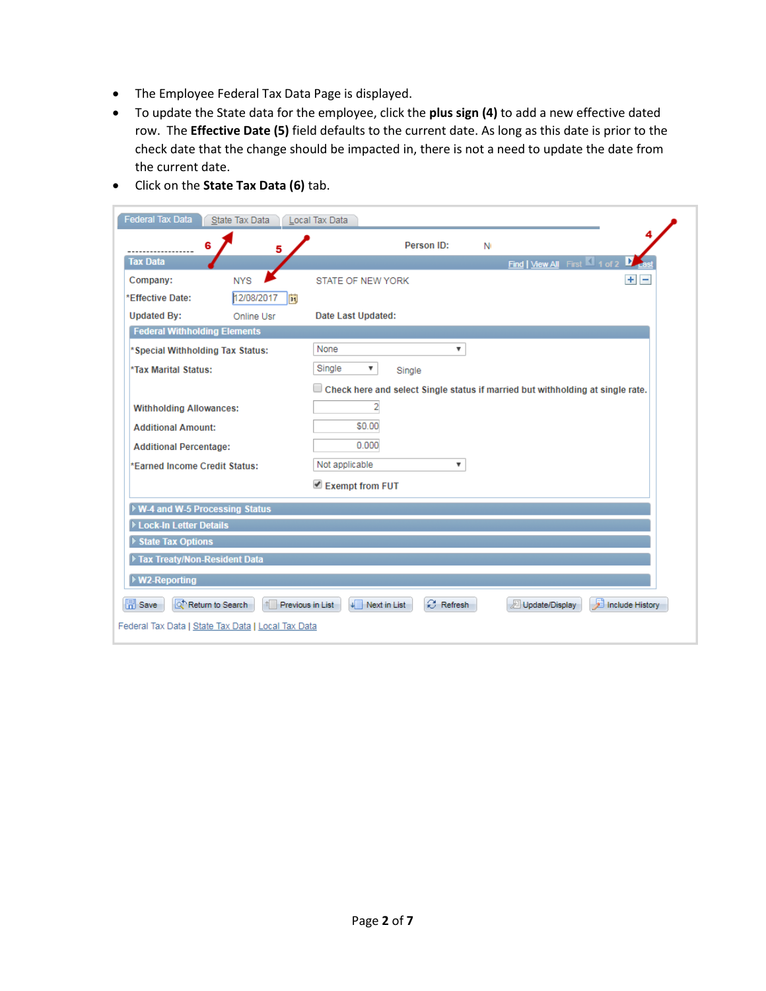- The Employee Federal Tax Data Page is displayed.
- To update the State data for the employee, click the **plus sign (4)** to add a new effective dated row. The **Effective Date (5)** field defaults to the current date. As long as this date is prior to the check date that the change should be impacted in, there is not a need to update the date from the current date.

| <b>Federal Tax Data</b>                                                                                                             | State Tax Data                                     | Local Tax Data                                                                 |  |  |  |
|-------------------------------------------------------------------------------------------------------------------------------------|----------------------------------------------------|--------------------------------------------------------------------------------|--|--|--|
| 6                                                                                                                                   | 5                                                  | Person ID:<br>N                                                                |  |  |  |
| <b>Tax Data</b>                                                                                                                     |                                                    | Find   View All First 4 of 2                                                   |  |  |  |
| Company:                                                                                                                            | <b>NYS</b>                                         | $+$ $-$<br><b>STATE OF NEW YORK</b>                                            |  |  |  |
| *Effective Date:                                                                                                                    | 12/08/2017<br>FJ                                   |                                                                                |  |  |  |
| <b>Updated By:</b>                                                                                                                  | Online Usr                                         | Date Last Updated:                                                             |  |  |  |
| <b>Federal Withholding Elements</b>                                                                                                 |                                                    |                                                                                |  |  |  |
| *Special Withholding Tax Status:                                                                                                    |                                                    | None<br>▼                                                                      |  |  |  |
| *Tax Marital Status:                                                                                                                |                                                    | Single<br>▼<br>Single                                                          |  |  |  |
|                                                                                                                                     |                                                    | Check here and select Single status if married but withholding at single rate. |  |  |  |
| <b>Withholding Allowances:</b>                                                                                                      |                                                    | 2                                                                              |  |  |  |
| <b>Additional Amount:</b>                                                                                                           |                                                    | \$0.00                                                                         |  |  |  |
| <b>Additional Percentage:</b>                                                                                                       |                                                    | 0.000                                                                          |  |  |  |
| *Earned Income Credit Status:                                                                                                       |                                                    | Not applicable<br>▼                                                            |  |  |  |
|                                                                                                                                     |                                                    | Exempt from FUT                                                                |  |  |  |
| ▶ W-4 and W-5 Processing Status                                                                                                     |                                                    |                                                                                |  |  |  |
| Lock-In Letter Details                                                                                                              |                                                    |                                                                                |  |  |  |
| ▶ State Tax Options                                                                                                                 |                                                    |                                                                                |  |  |  |
| Tax Treaty/Non-Resident Data                                                                                                        |                                                    |                                                                                |  |  |  |
| ▶ W2-Reporting                                                                                                                      |                                                    |                                                                                |  |  |  |
| <b>日</b> Save<br>罻<br><b>C</b> Refresh<br>Return to Search<br>Previous in List<br>Next in List<br>Update/Display<br>Include History |                                                    |                                                                                |  |  |  |
|                                                                                                                                     | Federal Tax Data   State Tax Data   Local Tax Data |                                                                                |  |  |  |

• Click on the **State Tax Data (6)** tab.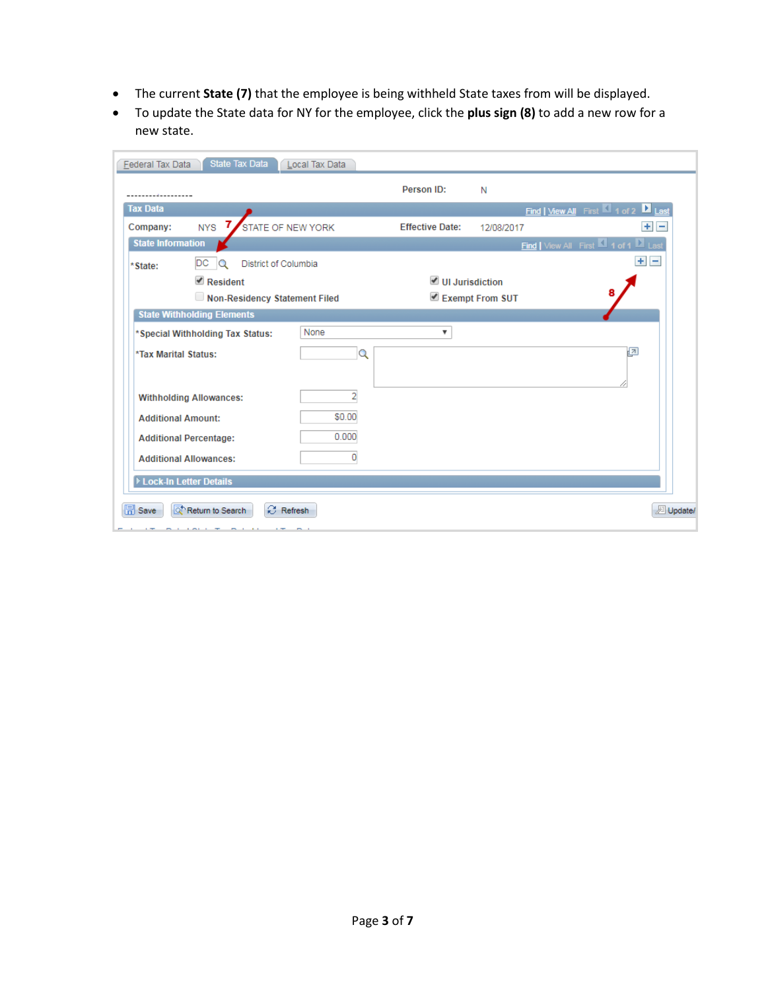- The current **State (7)** that the employee is being withheld State taxes from will be displayed.
- To update the State data for NY for the employee, click the **plus sign (8)** to add a new row for a new state.

| Federal Tax Data          | State Tax Data                                                  | Local Tax Data |                                |                 |                                              |  |
|---------------------------|-----------------------------------------------------------------|----------------|--------------------------------|-----------------|----------------------------------------------|--|
|                           |                                                                 |                | Person ID:                     | N               |                                              |  |
| <b>Tax Data</b>           |                                                                 |                |                                |                 | <b>Find   View All First   4 of 2   Last</b> |  |
| Company:                  | $NYS$ 7<br>STATE OF NEW YORK                                    |                | <b>Effective Date:</b>         | 12/08/2017      | $+$ $-$                                      |  |
|                           | Find   View All First 1 of 1 D Last<br><b>State Information</b> |                |                                |                 |                                              |  |
| *State:                   | DC<br>District of Columbia<br>$\circ$                           |                |                                |                 | $+$ $-$                                      |  |
|                           | $\blacksquare$ Resident                                         |                | $\blacksquare$ UI Jurisdiction |                 |                                              |  |
|                           | Non-Residency Statement Filed                                   |                |                                | Exempt From SUT |                                              |  |
|                           | <b>State Withholding Elements</b>                               |                |                                |                 |                                              |  |
|                           | *Special Withholding Tax Status:                                | None           | $\overline{\mathbf{v}}$        |                 |                                              |  |
| *Tax Marital Status:      |                                                                 | Q              |                                |                 | ø                                            |  |
|                           |                                                                 |                |                                |                 |                                              |  |
|                           | <b>Withholding Allowances:</b>                                  | 2              |                                |                 |                                              |  |
|                           |                                                                 |                |                                |                 |                                              |  |
| <b>Additional Amount:</b> |                                                                 | \$0.00         |                                |                 |                                              |  |
|                           | <b>Additional Percentage:</b>                                   | 0.000          |                                |                 |                                              |  |
|                           | <b>Additional Allowances:</b>                                   | 0              |                                |                 |                                              |  |
| Lock-In Letter Details    |                                                                 |                |                                |                 |                                              |  |
|                           |                                                                 |                |                                |                 |                                              |  |
| 圖<br>Save                 | <b>C</b> Refresh<br>Return to Search<br>Update/                 |                |                                |                 |                                              |  |
|                           |                                                                 |                |                                |                 |                                              |  |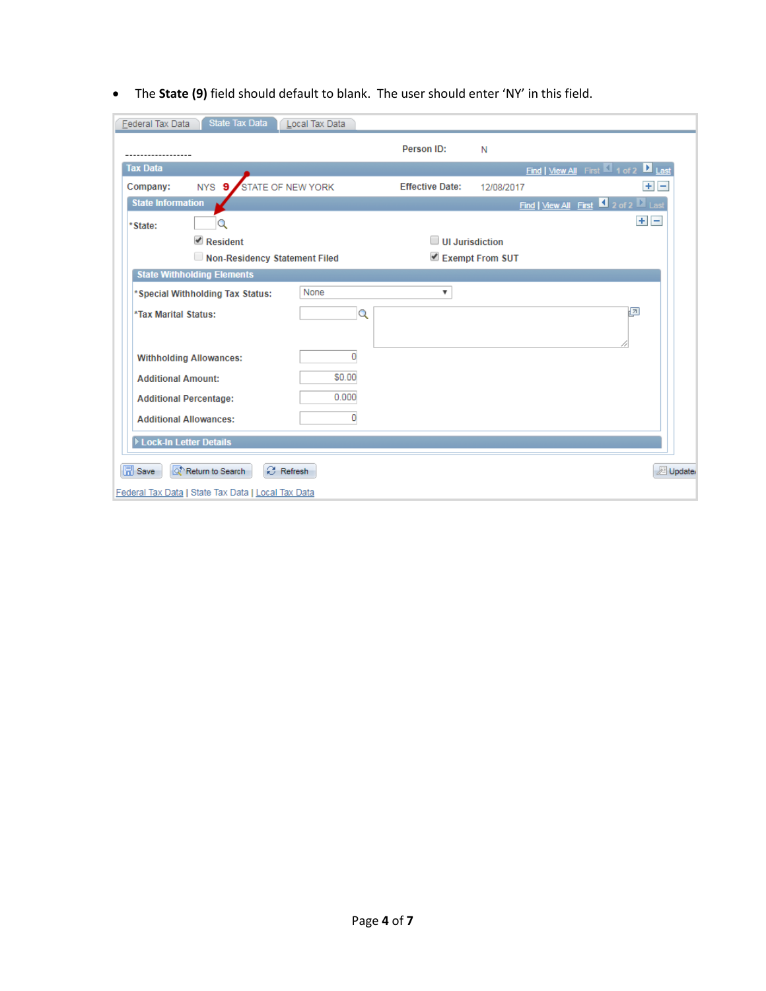• The **State (9)** field should default to blank. The user should enter 'NY' in this field.

| State Tax Data<br><b>Federal Tax Data</b>                                                      | Local Tax Data |                         |                 |                                   |  |
|------------------------------------------------------------------------------------------------|----------------|-------------------------|-----------------|-----------------------------------|--|
|                                                                                                |                | Person ID:              | N               |                                   |  |
| Tax Data                                                                                       |                |                         |                 | Find   View All First 1 of 2 Last |  |
| STATE OF NEW YORK<br>NYS 9.<br>Company:                                                        |                | <b>Effective Date:</b>  | 12/08/2017      | $+$ $-$                           |  |
| <b>State Information</b><br>$\blacksquare$ 2 of 2 $\blacksquare$ Last<br>Find   View All First |                |                         |                 |                                   |  |
| *State:                                                                                        |                |                         |                 | $+$ $-$                           |  |
| $\triangle$ Resident                                                                           |                | $\Box$ UI Jurisdiction  |                 |                                   |  |
| Non-Residency Statement Filed                                                                  |                |                         | Exempt From SUT |                                   |  |
| <b>State Withholding Elements</b>                                                              |                |                         |                 |                                   |  |
| *Special Withholding Tax Status:                                                               | None           | $\overline{\mathbf{v}}$ |                 |                                   |  |
| *Tax Marital Status:                                                                           | Q              |                         |                 | łЯ                                |  |
|                                                                                                |                |                         |                 |                                   |  |
| <b>Withholding Allowances:</b>                                                                 | 0              |                         |                 |                                   |  |
| <b>Additional Amount:</b>                                                                      | \$0.00         |                         |                 |                                   |  |
| <b>Additional Percentage:</b>                                                                  | 0.000          |                         |                 |                                   |  |
|                                                                                                | 0              |                         |                 |                                   |  |
| <b>Additional Allowances:</b>                                                                  |                |                         |                 |                                   |  |
| Lock-In Letter Details                                                                         |                |                         |                 |                                   |  |
| $\Box$ Save<br>$C$ Refresh<br>Updater<br>Return to Search                                      |                |                         |                 |                                   |  |
| Federal Tax Data   State Tax Data   Local Tax Data                                             |                |                         |                 |                                   |  |
|                                                                                                |                |                         |                 |                                   |  |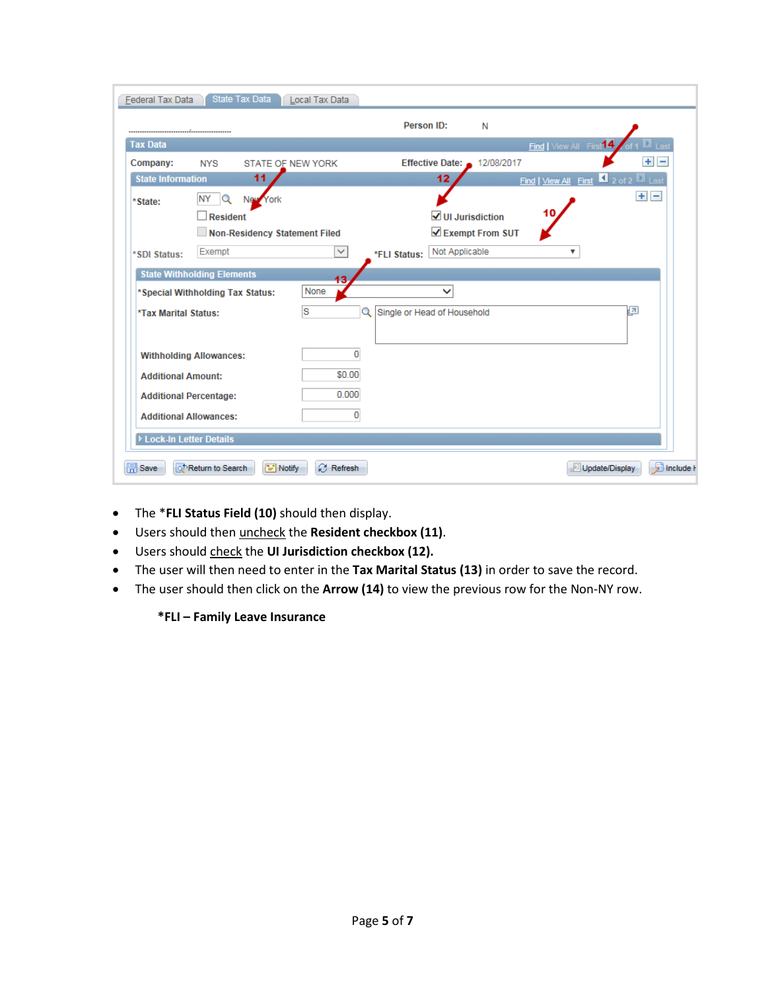| State Tax Data<br><b>Federal Tax Data</b><br>Local Tax Data                                                    |  |  |  |  |  |  |
|----------------------------------------------------------------------------------------------------------------|--|--|--|--|--|--|
| Person ID:<br>N                                                                                                |  |  |  |  |  |  |
| <b>Tax Data</b><br>Find   View All First <sup>14</sup>                                                         |  |  |  |  |  |  |
| ÷<br>Effective Date: $\bullet$<br>12/08/2017<br>-<br>Company:<br><b>NYS</b><br><b>STATE OF NEW YORK</b>        |  |  |  |  |  |  |
| 11<br>12 <sub>2</sub><br><b>State Information</b><br>Find   View All First $\Box$ 2 of 2 $\Box$ Last           |  |  |  |  |  |  |
| $+$ $-$<br>NY<br>$\mathbf Q$<br>New York<br>*State:<br>10<br>$\sqrt{}$ UI Jurisdiction<br>$\Box$ Resident      |  |  |  |  |  |  |
| Exempt From SUT<br>Non-Residency Statement Filed                                                               |  |  |  |  |  |  |
| Not Applicable<br>Exempt<br>$\checkmark$<br>$\overline{\mathbf{v}}$<br>*FLI Status:<br>*SDI Status:            |  |  |  |  |  |  |
| <b>State Withholding Elements</b><br>13                                                                        |  |  |  |  |  |  |
| None<br>$\checkmark$<br>*Special Withholding Tax Status:                                                       |  |  |  |  |  |  |
| S<br>łи<br>Single or Head of Household<br>Q<br><b>*Tax Marital Status:</b>                                     |  |  |  |  |  |  |
| 0<br><b>Withholding Allowances:</b>                                                                            |  |  |  |  |  |  |
| \$0.00<br><b>Additional Amount:</b>                                                                            |  |  |  |  |  |  |
| 0.000<br><b>Additional Percentage:</b>                                                                         |  |  |  |  |  |  |
| 0<br><b>Additional Allowances:</b>                                                                             |  |  |  |  |  |  |
| Lock-In Letter Details                                                                                         |  |  |  |  |  |  |
| include <b>h</b><br><b>B</b> Refresh<br><b>日</b> Save<br>Thetum to Search<br>$\equiv$ Notify<br>Update/Display |  |  |  |  |  |  |

- The \***FLI Status Field (10)** should then display.
- Users should then uncheck the **Resident checkbox (11)**.
- Users should check the **UI Jurisdiction checkbox (12).**
- The user will then need to enter in the **Tax Marital Status (13)** in order to save the record.
- The user should then click on the **Arrow (14)** to view the previous row for the Non-NY row.

## **\*FLI – Family Leave Insurance**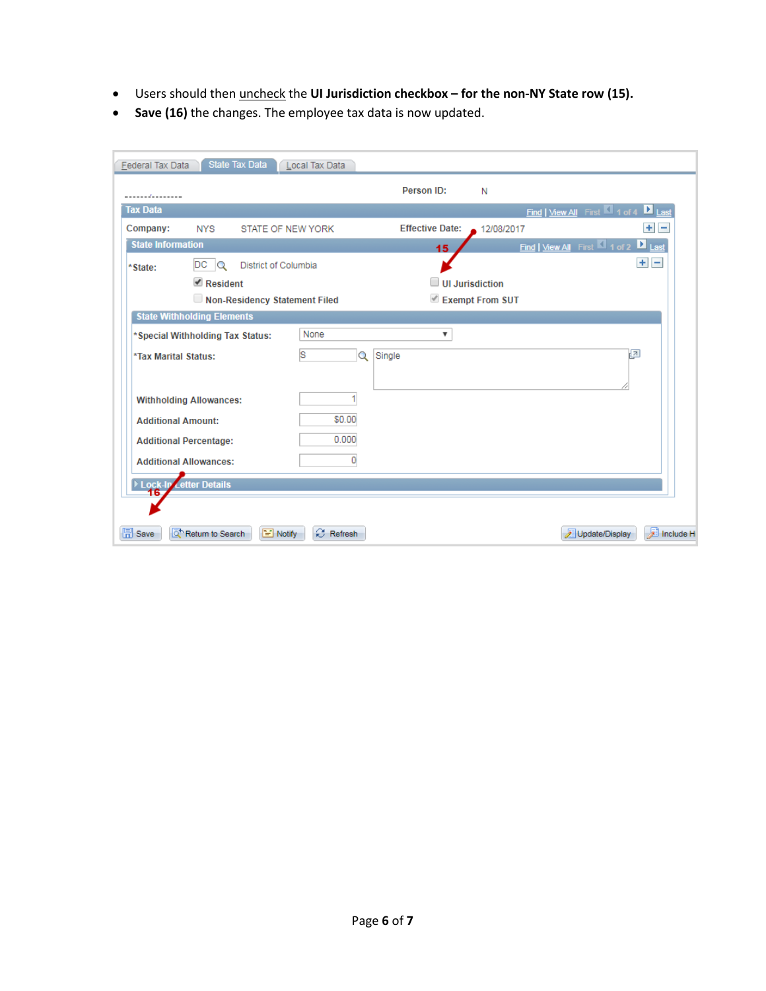- Users should then uncheck the **UI Jurisdiction checkbox – for the non-NY State row (15).**
- **Save (16)** the changes. The employee tax data is now updated.

| Federal Tax Data                  | State Tax Data                      | Local Tax Data    |                        |                 |                                                                 |
|-----------------------------------|-------------------------------------|-------------------|------------------------|-----------------|-----------------------------------------------------------------|
| .                                 |                                     |                   | Person ID:             | N               |                                                                 |
| <b>Tax Data</b>                   |                                     |                   |                        |                 | Find   View All First 1 of 4 1 Last                             |
| Company:                          | <b>NYS</b>                          | STATE OF NEW YORK | <b>Effective Date:</b> | 12/08/2017      | $+$ $-$                                                         |
| <b>State Information</b>          |                                     |                   | 15                     |                 | Find   View All First $\blacksquare$ 1 of 2 $\blacksquare$ Last |
| *State:                           | DCQ<br>District of Columbia         |                   |                        |                 | $+$ $-$                                                         |
|                                   | $\blacksquare$ Resident             |                   | $\Box$ UI Jurisdiction |                 |                                                                 |
|                                   | Non-Residency Statement Filed       |                   |                        | Exempt From SUT |                                                                 |
|                                   | <b>State Withholding Elements</b>   |                   |                        |                 |                                                                 |
|                                   | *Special Withholding Tax Status:    | None              | ▼                      |                 |                                                                 |
| *Tax Marital Status:              |                                     | ls<br>Q           | Single                 |                 | 國                                                               |
|                                   |                                     |                   |                        |                 |                                                                 |
|                                   | <b>Withholding Allowances:</b>      |                   |                        |                 |                                                                 |
| <b>Additional Amount:</b>         |                                     | \$0.00            |                        |                 |                                                                 |
|                                   |                                     |                   |                        |                 |                                                                 |
|                                   | <b>Additional Percentage:</b>       | 0.000             |                        |                 |                                                                 |
|                                   | <b>Additional Allowances:</b>       | 0                 |                        |                 |                                                                 |
| <b>Letter Details</b><br>Lock-liv |                                     |                   |                        |                 |                                                                 |
|                                   |                                     |                   |                        |                 |                                                                 |
|                                   |                                     |                   |                        |                 |                                                                 |
| <b>日</b> Save                     | Return to Search<br>$\equiv$ Notify | $C$ Refresh       |                        |                 | D Include H<br>Update/Display                                   |